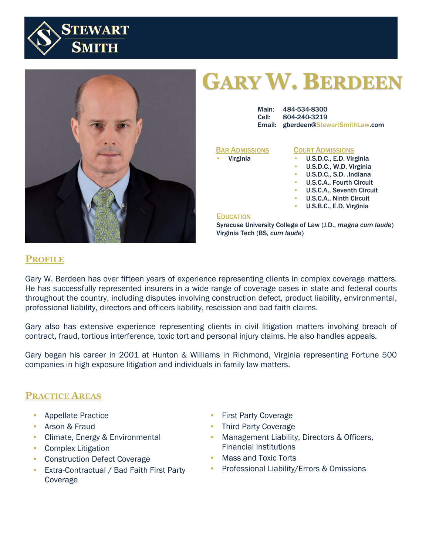



# **GARY W. BERDEEN**

| Main: 484-534-8300                         |
|--------------------------------------------|
| Cell: 804-240-3219                         |
| <b>Email: gberdeen@StewartSmithLaw.com</b> |

#### **BAR ADMISSIONS**

• Virginia

#### **COURT ADMISSIONS**

- U.S.D.C., E.D. Virginia
- U.S.D.C., W.D. Virginia
- U.S.D.C., S.D. .Indiana
- U.S.C.A., Fourth Circuit
- U.S.C.A., Seventh Circuit
- U.S.C.A., Ninth Circuit
- U.S.B.C., E.D. Virginia

#### **EDUCATION**

Syracuse University College of Law (J.D., *magna cum laude*) Virginia Tech (BS, *cum laude*)

# **PROFILE**

Gary W. Berdeen has over fifteen years of experience representing clients in complex coverage matters. He has successfully represented insurers in a wide range of coverage cases in state and federal courts throughout the country, including disputes involving construction defect, product liability, environmental, professional liability, directors and officers liability, rescission and bad faith claims.

Gary also has extensive experience representing clients in civil litigation matters involving breach of contract, fraud, tortious interference, toxic tort and personal injury claims. He also handles appeals.

Gary began his career in 2001 at Hunton & Williams in Richmond, Virginia representing Fortune 500 companies in high exposure litigation and individuals in family law matters.

## **PRACTICE AREAS**

- Appellate Practice
- Arson & Fraud
- Climate, Energy & Environmental
- Complex Litigation
- Construction Defect Coverage
- Extra-Contractual / Bad Faith First Party Coverage
- First Party Coverage
- Third Party Coverage
- Management Liability, Directors & Officers, Financial Institutions
- Mass and Toxic Torts
- Professional Liability/Errors & Omissions